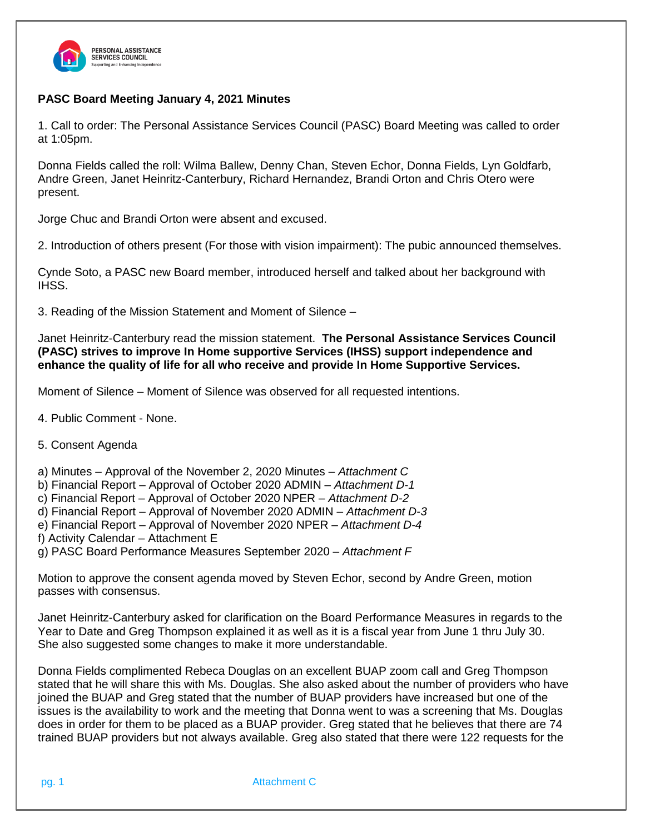

## **PASC Board Meeting January 4, 2021 Minutes**

1. Call to order: The Personal Assistance Services Council (PASC) Board Meeting was called to order at 1:05pm.

Donna Fields called the roll: Wilma Ballew, Denny Chan, Steven Echor, Donna Fields, Lyn Goldfarb, Andre Green, Janet Heinritz-Canterbury, Richard Hernandez, Brandi Orton and Chris Otero were present.

Jorge Chuc and Brandi Orton were absent and excused.

2. Introduction of others present (For those with vision impairment): The pubic announced themselves.

Cynde Soto, a PASC new Board member, introduced herself and talked about her background with IHSS.

3. Reading of the Mission Statement and Moment of Silence –

Janet Heinritz-Canterbury read the mission statement. **The Personal Assistance Services Council (PASC) strives to improve In Home supportive Services (IHSS) support independence and enhance the quality of life for all who receive and provide In Home Supportive Services.**

Moment of Silence – Moment of Silence was observed for all requested intentions.

- 4. Public Comment None.
- 5. Consent Agenda

a) Minutes – Approval of the November 2, 2020 Minutes – *Attachment C*

b) Financial Report – Approval of October 2020 ADMIN – *Attachment D-1*

c) Financial Report – Approval of October 2020 NPER – *Attachment D-2*

d) Financial Report – Approval of November 2020 ADMIN – *Attachment D-3*

e) Financial Report – Approval of November 2020 NPER – *Attachment D-4*

f) Activity Calendar – Attachment E

g) PASC Board Performance Measures September 2020 *– Attachment F*

Motion to approve the consent agenda moved by Steven Echor, second by Andre Green, motion passes with consensus.

Janet Heinritz-Canterbury asked for clarification on the Board Performance Measures in regards to the Year to Date and Greg Thompson explained it as well as it is a fiscal year from June 1 thru July 30. She also suggested some changes to make it more understandable.

Donna Fields complimented Rebeca Douglas on an excellent BUAP zoom call and Greg Thompson stated that he will share this with Ms. Douglas. She also asked about the number of providers who have joined the BUAP and Greg stated that the number of BUAP providers have increased but one of the issues is the availability to work and the meeting that Donna went to was a screening that Ms. Douglas does in order for them to be placed as a BUAP provider. Greg stated that he believes that there are 74 trained BUAP providers but not always available. Greg also stated that there were 122 requests for the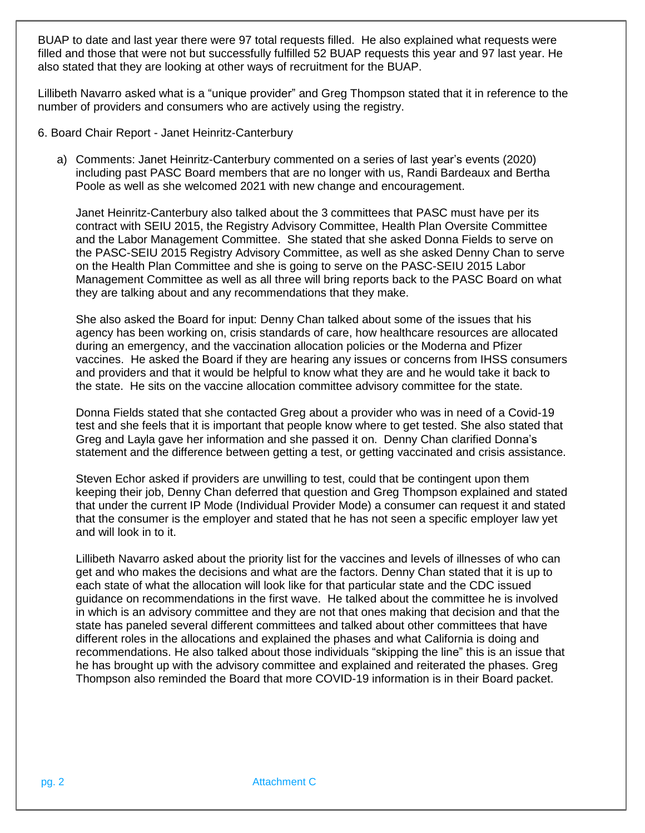BUAP to date and last year there were 97 total requests filled. He also explained what requests were filled and those that were not but successfully fulfilled 52 BUAP requests this year and 97 last year. He also stated that they are looking at other ways of recruitment for the BUAP.

Lillibeth Navarro asked what is a "unique provider" and Greg Thompson stated that it in reference to the number of providers and consumers who are actively using the registry.

- 6. Board Chair Report Janet Heinritz-Canterbury
	- a) Comments: Janet Heinritz-Canterbury commented on a series of last year's events (2020) including past PASC Board members that are no longer with us, Randi Bardeaux and Bertha Poole as well as she welcomed 2021 with new change and encouragement.

Janet Heinritz-Canterbury also talked about the 3 committees that PASC must have per its contract with SEIU 2015, the Registry Advisory Committee, Health Plan Oversite Committee and the Labor Management Committee. She stated that she asked Donna Fields to serve on the PASC-SEIU 2015 Registry Advisory Committee, as well as she asked Denny Chan to serve on the Health Plan Committee and she is going to serve on the PASC-SEIU 2015 Labor Management Committee as well as all three will bring reports back to the PASC Board on what they are talking about and any recommendations that they make.

She also asked the Board for input: Denny Chan talked about some of the issues that his agency has been working on, crisis standards of care, how healthcare resources are allocated during an emergency, and the vaccination allocation policies or the Moderna and Pfizer vaccines. He asked the Board if they are hearing any issues or concerns from IHSS consumers and providers and that it would be helpful to know what they are and he would take it back to the state. He sits on the vaccine allocation committee advisory committee for the state.

Donna Fields stated that she contacted Greg about a provider who was in need of a Covid-19 test and she feels that it is important that people know where to get tested. She also stated that Greg and Layla gave her information and she passed it on. Denny Chan clarified Donna's statement and the difference between getting a test, or getting vaccinated and crisis assistance.

Steven Echor asked if providers are unwilling to test, could that be contingent upon them keeping their job, Denny Chan deferred that question and Greg Thompson explained and stated that under the current IP Mode (Individual Provider Mode) a consumer can request it and stated that the consumer is the employer and stated that he has not seen a specific employer law yet and will look in to it.

Lillibeth Navarro asked about the priority list for the vaccines and levels of illnesses of who can get and who makes the decisions and what are the factors. Denny Chan stated that it is up to each state of what the allocation will look like for that particular state and the CDC issued guidance on recommendations in the first wave. He talked about the committee he is involved in which is an advisory committee and they are not that ones making that decision and that the state has paneled several different committees and talked about other committees that have different roles in the allocations and explained the phases and what California is doing and recommendations. He also talked about those individuals "skipping the line" this is an issue that he has brought up with the advisory committee and explained and reiterated the phases. Greg Thompson also reminded the Board that more COVID-19 information is in their Board packet.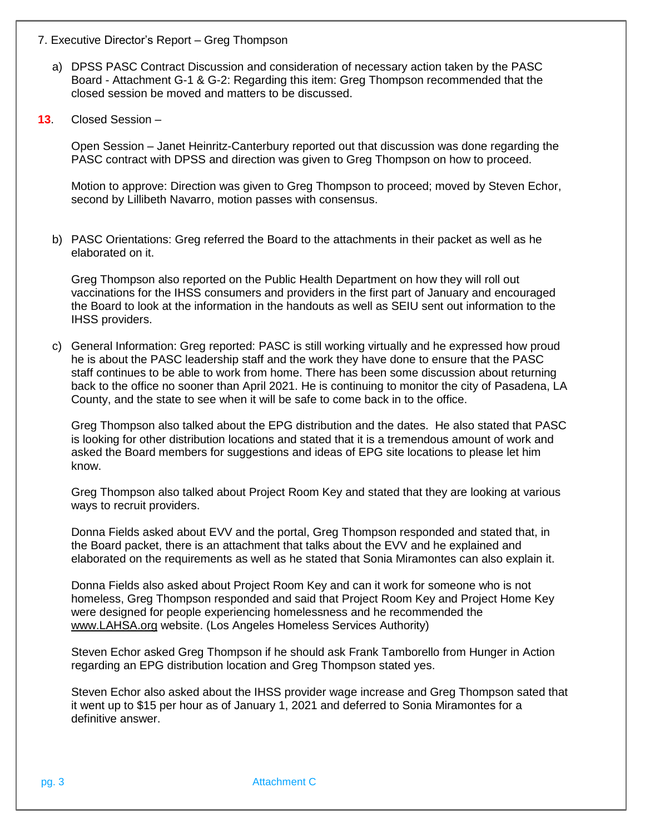- 7. Executive Director's Report Greg Thompson
	- a) DPSS PASC Contract Discussion and consideration of necessary action taken by the PASC Board - Attachment G-1 & G-2: Regarding this item: Greg Thompson recommended that the closed session be moved and matters to be discussed.
- **13**. Closed Session –

Open Session – Janet Heinritz-Canterbury reported out that discussion was done regarding the PASC contract with DPSS and direction was given to Greg Thompson on how to proceed.

Motion to approve: Direction was given to Greg Thompson to proceed; moved by Steven Echor, second by Lillibeth Navarro, motion passes with consensus.

b) PASC Orientations: Greg referred the Board to the attachments in their packet as well as he elaborated on it.

Greg Thompson also reported on the Public Health Department on how they will roll out vaccinations for the IHSS consumers and providers in the first part of January and encouraged the Board to look at the information in the handouts as well as SEIU sent out information to the IHSS providers.

c) General Information: Greg reported: PASC is still working virtually and he expressed how proud he is about the PASC leadership staff and the work they have done to ensure that the PASC staff continues to be able to work from home. There has been some discussion about returning back to the office no sooner than April 2021. He is continuing to monitor the city of Pasadena, LA County, and the state to see when it will be safe to come back in to the office.

Greg Thompson also talked about the EPG distribution and the dates. He also stated that PASC is looking for other distribution locations and stated that it is a tremendous amount of work and asked the Board members for suggestions and ideas of EPG site locations to please let him know.

Greg Thompson also talked about Project Room Key and stated that they are looking at various ways to recruit providers.

Donna Fields asked about EVV and the portal, Greg Thompson responded and stated that, in the Board packet, there is an attachment that talks about the EVV and he explained and elaborated on the requirements as well as he stated that Sonia Miramontes can also explain it.

Donna Fields also asked about Project Room Key and can it work for someone who is not homeless, Greg Thompson responded and said that Project Room Key and Project Home Key were designed for people experiencing homelessness and he recommended the [www.LAHSA.org](http://www.lahsa.org/) website. (Los Angeles Homeless Services Authority)

Steven Echor asked Greg Thompson if he should ask Frank Tamborello from Hunger in Action regarding an EPG distribution location and Greg Thompson stated yes.

Steven Echor also asked about the IHSS provider wage increase and Greg Thompson sated that it went up to \$15 per hour as of January 1, 2021 and deferred to Sonia Miramontes for a definitive answer.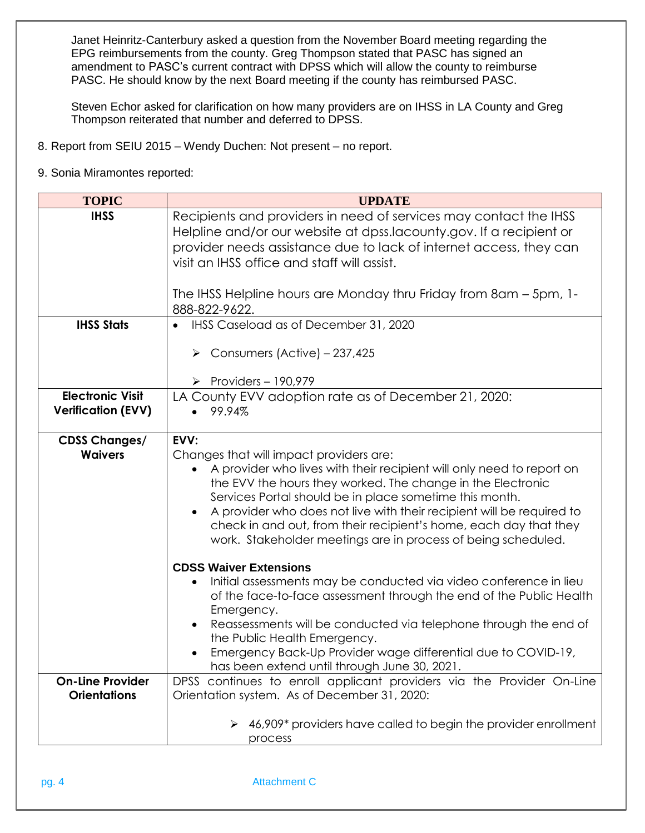Janet Heinritz-Canterbury asked a question from the November Board meeting regarding the EPG reimbursements from the county. Greg Thompson stated that PASC has signed an amendment to PASC's current contract with DPSS which will allow the county to reimburse PASC. He should know by the next Board meeting if the county has reimbursed PASC.

Steven Echor asked for clarification on how many providers are on IHSS in LA County and Greg Thompson reiterated that number and deferred to DPSS.

- 8. Report from SEIU 2015 Wendy Duchen: Not present no report.
- 9. Sonia Miramontes reported:

| <b>TOPIC</b>              | <b>UPDATE</b>                                                                                                                        |
|---------------------------|--------------------------------------------------------------------------------------------------------------------------------------|
| <b>IHSS</b>               | Recipients and providers in need of services may contact the IHSS                                                                    |
|                           | Helpline and/or our website at dpss.lacounty.gov. If a recipient or                                                                  |
|                           | provider needs assistance due to lack of internet access, they can                                                                   |
|                           | visit an IHSS office and staff will assist.                                                                                          |
|                           |                                                                                                                                      |
|                           | The IHSS Helpline hours are Monday thru Friday from 8am - 5pm, 1-<br>888-822-9622.                                                   |
| <b>IHSS Stats</b>         | IHSS Caseload as of December 31, 2020                                                                                                |
|                           |                                                                                                                                      |
|                           | $\triangleright$ Consumers (Active) – 237,425                                                                                        |
|                           |                                                                                                                                      |
|                           | $\triangleright$ Providers - 190,979                                                                                                 |
| <b>Electronic Visit</b>   | LA County EVV adoption rate as of December 21, 2020:                                                                                 |
| <b>Verification (EVV)</b> | 99.94%                                                                                                                               |
|                           |                                                                                                                                      |
| <b>CDSS Changes/</b>      | EVV:                                                                                                                                 |
| <b>Waivers</b>            | Changes that will impact providers are:                                                                                              |
|                           | A provider who lives with their recipient will only need to report on<br>the EVV the hours they worked. The change in the Electronic |
|                           | Services Portal should be in place sometime this month.                                                                              |
|                           | A provider who does not live with their recipient will be required to                                                                |
|                           | check in and out, from their recipient's home, each day that they                                                                    |
|                           | work. Stakeholder meetings are in process of being scheduled.                                                                        |
|                           |                                                                                                                                      |
|                           | <b>CDSS Waiver Extensions</b>                                                                                                        |
|                           | Initial assessments may be conducted via video conference in lieu<br>$\bullet$                                                       |
|                           | of the face-to-face assessment through the end of the Public Health                                                                  |
|                           | Emergency.<br>Reassessments will be conducted via telephone through the end of                                                       |
|                           | the Public Health Emergency.                                                                                                         |
|                           | Emergency Back-Up Provider wage differential due to COVID-19,                                                                        |
|                           | has been extend until through June 30, 2021.                                                                                         |
| <b>On-Line Provider</b>   | DPSS continues to enroll applicant providers via the Provider On-Line                                                                |
| <b>Orientations</b>       | Orientation system. As of December 31, 2020:                                                                                         |
|                           |                                                                                                                                      |
|                           | 46,909* providers have called to begin the provider enrollment                                                                       |
|                           | process                                                                                                                              |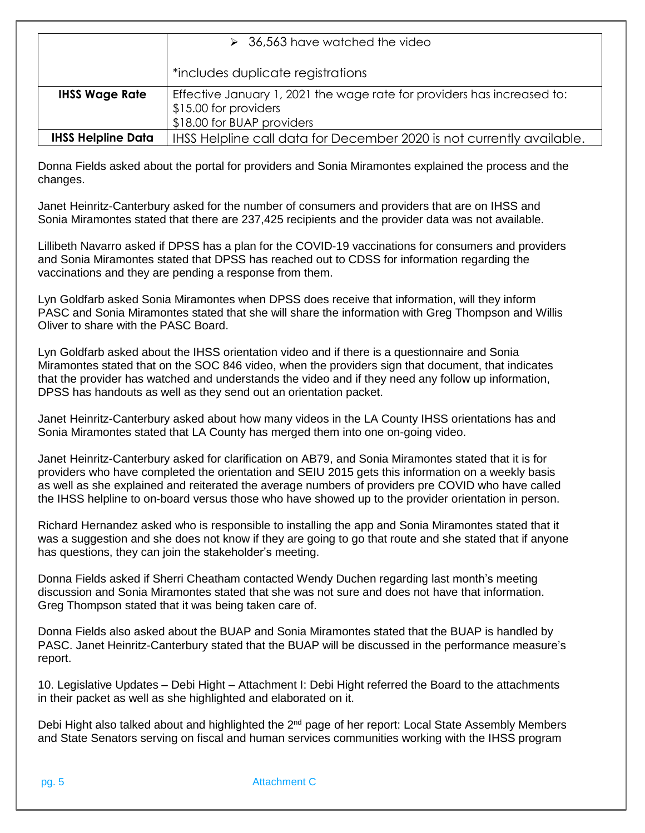|                           | $\geq$ 36,563 have watched the video                                                                                           |
|---------------------------|--------------------------------------------------------------------------------------------------------------------------------|
|                           | *includes duplicate registrations                                                                                              |
| <b>IHSS Wage Rate</b>     | Effective January 1, 2021 the wage rate for providers has increased to:<br>\$15.00 for providers<br>\$18.00 for BUAP providers |
| <b>IHSS Helpline Data</b> | IHSS Helpline call data for December 2020 is not currently available.                                                          |

Donna Fields asked about the portal for providers and Sonia Miramontes explained the process and the changes.

Janet Heinritz-Canterbury asked for the number of consumers and providers that are on IHSS and Sonia Miramontes stated that there are 237,425 recipients and the provider data was not available.

Lillibeth Navarro asked if DPSS has a plan for the COVID-19 vaccinations for consumers and providers and Sonia Miramontes stated that DPSS has reached out to CDSS for information regarding the vaccinations and they are pending a response from them.

Lyn Goldfarb asked Sonia Miramontes when DPSS does receive that information, will they inform PASC and Sonia Miramontes stated that she will share the information with Greg Thompson and Willis Oliver to share with the PASC Board.

Lyn Goldfarb asked about the IHSS orientation video and if there is a questionnaire and Sonia Miramontes stated that on the SOC 846 video, when the providers sign that document, that indicates that the provider has watched and understands the video and if they need any follow up information, DPSS has handouts as well as they send out an orientation packet.

Janet Heinritz-Canterbury asked about how many videos in the LA County IHSS orientations has and Sonia Miramontes stated that LA County has merged them into one on-going video.

Janet Heinritz-Canterbury asked for clarification on AB79, and Sonia Miramontes stated that it is for providers who have completed the orientation and SEIU 2015 gets this information on a weekly basis as well as she explained and reiterated the average numbers of providers pre COVID who have called the IHSS helpline to on-board versus those who have showed up to the provider orientation in person.

Richard Hernandez asked who is responsible to installing the app and Sonia Miramontes stated that it was a suggestion and she does not know if they are going to go that route and she stated that if anyone has questions, they can join the stakeholder's meeting.

Donna Fields asked if Sherri Cheatham contacted Wendy Duchen regarding last month's meeting discussion and Sonia Miramontes stated that she was not sure and does not have that information. Greg Thompson stated that it was being taken care of.

Donna Fields also asked about the BUAP and Sonia Miramontes stated that the BUAP is handled by PASC. Janet Heinritz-Canterbury stated that the BUAP will be discussed in the performance measure's report.

10. Legislative Updates – Debi Hight – Attachment I: Debi Hight referred the Board to the attachments in their packet as well as she highlighted and elaborated on it.

Debi Hight also talked about and highlighted the 2<sup>nd</sup> page of her report: Local State Assembly Members and State Senators serving on fiscal and human services communities working with the IHSS program